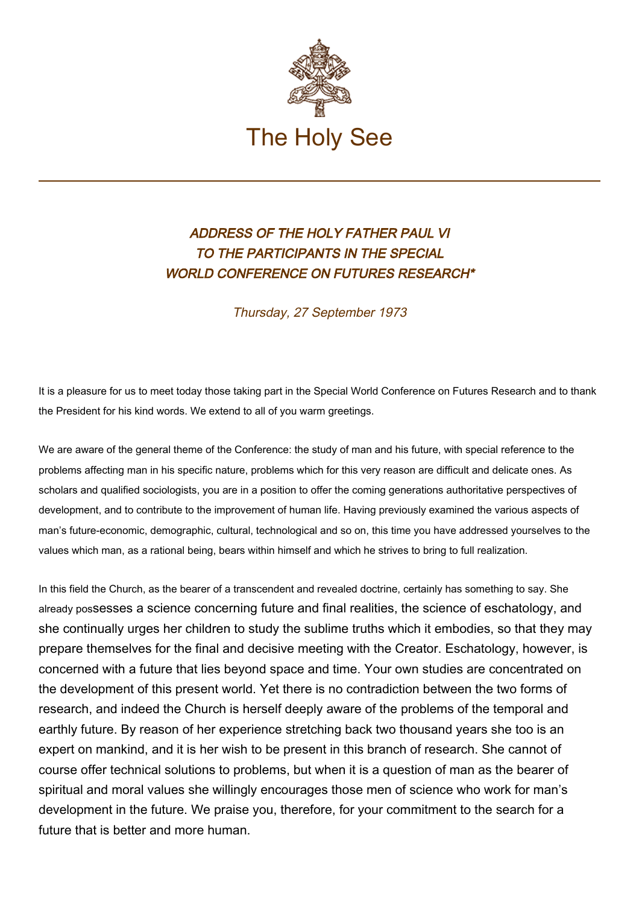

## ADDRESS OF THE HOLY FATHER PAUL VI TO THE PARTICIPANTS IN THE SPECIAL WORLD CONFERENCE ON FUTURES RESEARCH\*

Thursday, 27 September 1973

It is a pleasure for us to meet today those taking part in the Special World Conference on Futures Research and to thank the President for his kind words. We extend to all of you warm greetings.

We are aware of the general theme of the Conference: the study of man and his future, with special reference to the problems affecting man in his specific nature, problems which for this very reason are difficult and delicate ones. As scholars and qualified sociologists, you are in a position to offer the coming generations authoritative perspectives of development, and to contribute to the improvement of human life. Having previously examined the various aspects of man's future-economic, demographic, cultural, technological and so on, this time you have addressed yourselves to the values which man, as a rational being, bears within himself and which he strives to bring to full realization.

In this field the Church, as the bearer of a transcendent and revealed doctrine, certainly has something to say. She already possesses a science concerning future and final realities, the science of eschatology, and she continually urges her children to study the sublime truths which it embodies, so that they may prepare themselves for the final and decisive meeting with the Creator. Eschatology, however, is concerned with a future that lies beyond space and time. Your own studies are concentrated on the development of this present world. Yet there is no contradiction between the two forms of research, and indeed the Church is herself deeply aware of the problems of the temporal and earthly future. By reason of her experience stretching back two thousand years she too is an expert on mankind, and it is her wish to be present in this branch of research. She cannot of course offer technical solutions to problems, but when it is a question of man as the bearer of spiritual and moral values she willingly encourages those men of science who work for man's development in the future. We praise you, therefore, for your commitment to the search for a future that is better and more human.